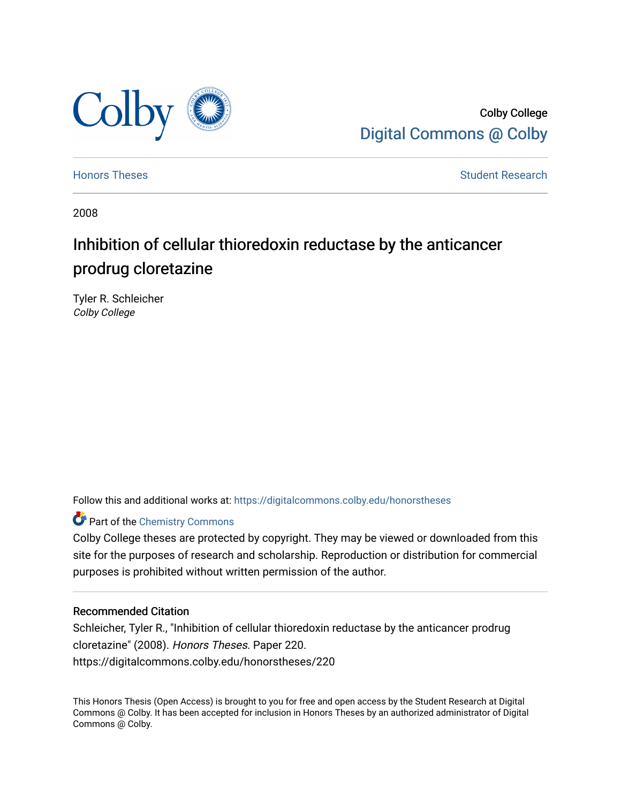

Colby College [Digital Commons @ Colby](https://digitalcommons.colby.edu/) 

[Honors Theses](https://digitalcommons.colby.edu/honorstheses) **Student Research** Student Research

2008

## Inhibition of cellular thioredoxin reductase by the anticancer prodrug cloretazine

Tyler R. Schleicher Colby College

Follow this and additional works at: [https://digitalcommons.colby.edu/honorstheses](https://digitalcommons.colby.edu/honorstheses?utm_source=digitalcommons.colby.edu%2Fhonorstheses%2F220&utm_medium=PDF&utm_campaign=PDFCoverPages) 

## **Part of the Chemistry Commons**

Colby College theses are protected by copyright. They may be viewed or downloaded from this site for the purposes of research and scholarship. Reproduction or distribution for commercial purposes is prohibited without written permission of the author.

#### Recommended Citation

Schleicher, Tyler R., "Inhibition of cellular thioredoxin reductase by the anticancer prodrug cloretazine" (2008). Honors Theses. Paper 220. https://digitalcommons.colby.edu/honorstheses/220

This Honors Thesis (Open Access) is brought to you for free and open access by the Student Research at Digital Commons @ Colby. It has been accepted for inclusion in Honors Theses by an authorized administrator of Digital Commons @ Colby.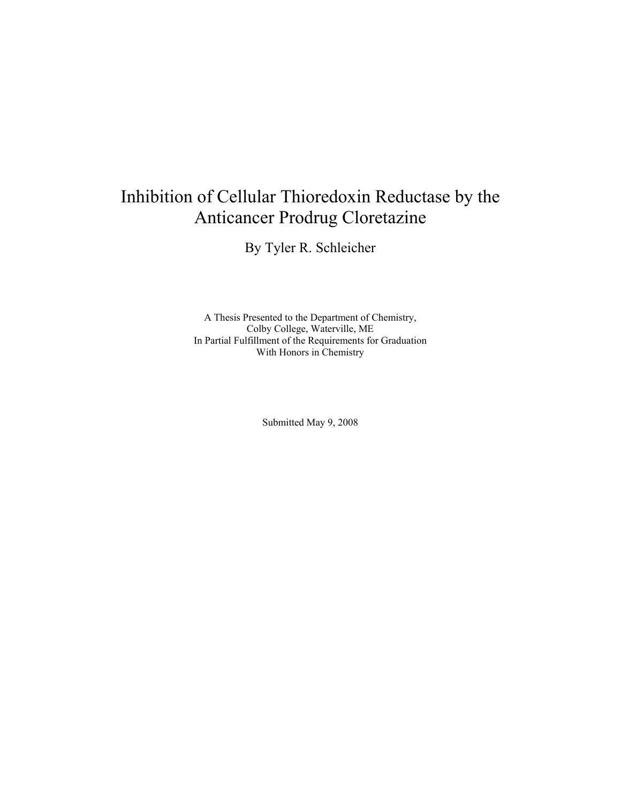# Inhibition of Cellular Thioredoxin Reductase by the Anticancer Prodrug Cloretazine

By Tyler R. Schleicher

A Thesis Presented to the Department of Chemistry, Colby College, Waterville, ME In Partial Fulfillment of the Requirements for Graduation With Honors in Chemistry

Submitted May 9, 2008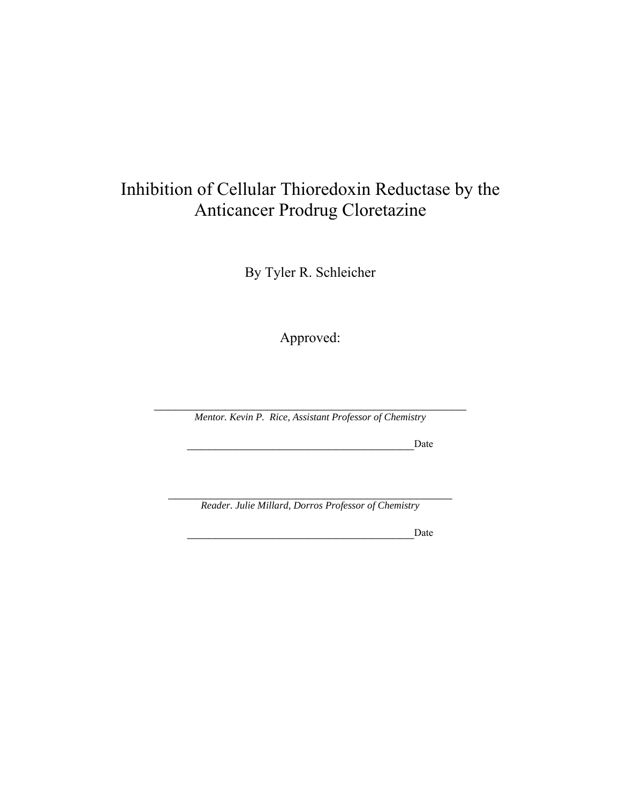## Inhibition of Cellular Thioredoxin Reductase by the Anticancer Prodrug Cloretazine

By Tyler R. Schleicher

Approved:

 $\mathcal{L}_\text{max}$  , and the set of the set of the set of the set of the set of the set of the set of the set of the set of the set of the set of the set of the set of the set of the set of the set of the set of the set of the *Mentor. Kevin P. Rice, Assistant Professor of Chemistry* 

\_\_\_\_\_\_\_\_\_\_\_\_\_\_\_\_\_\_\_\_\_\_\_\_\_\_\_\_\_\_\_\_Date

\_\_\_\_\_\_\_\_\_\_\_\_\_\_\_\_\_\_\_\_\_\_\_\_\_\_\_\_\_\_\_\_\_\_\_\_\_\_\_\_ *Reader. Julie Millard, Dorros Professor of Chemistry* 

\_\_\_\_\_\_\_\_\_\_\_\_\_\_\_\_\_\_\_\_\_\_\_\_\_\_\_\_\_\_\_\_Date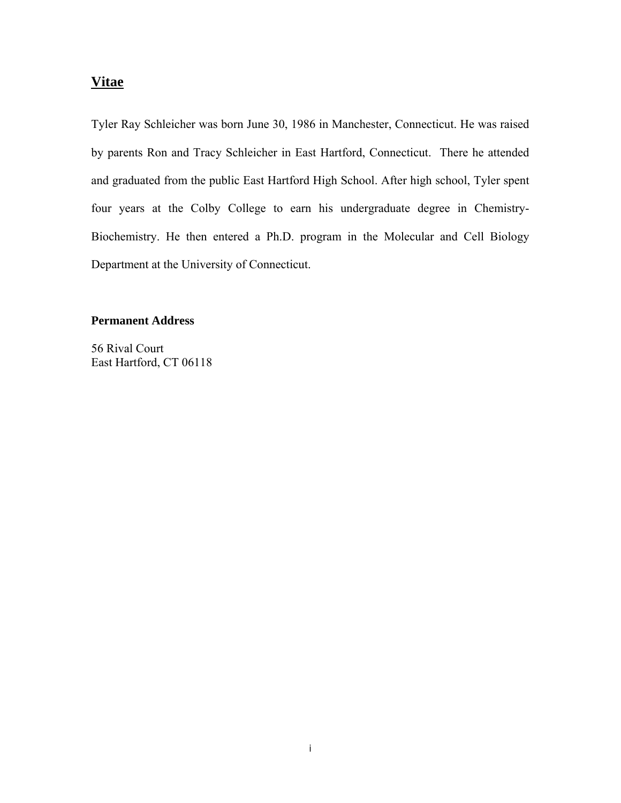## **Vitae**

Tyler Ray Schleicher was born June 30, 1986 in Manchester, Connecticut. He was raised by parents Ron and Tracy Schleicher in East Hartford, Connecticut. There he attended and graduated from the public East Hartford High School. After high school, Tyler spent four years at the Colby College to earn his undergraduate degree in Chemistry-Biochemistry. He then entered a Ph.D. program in the Molecular and Cell Biology Department at the University of Connecticut.

#### **Permanent Address**

56 Rival Court East Hartford, CT 06118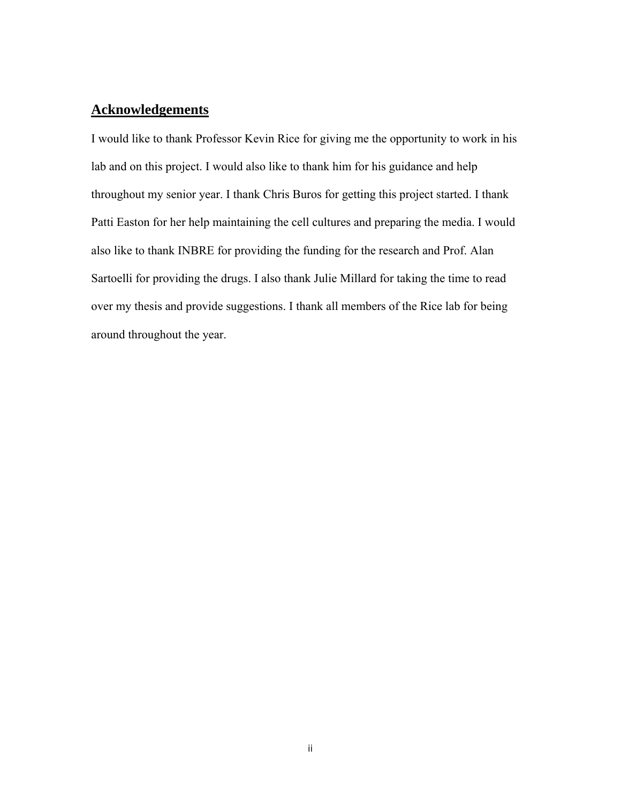### **Acknowledgements**

I would like to thank Professor Kevin Rice for giving me the opportunity to work in his lab and on this project. I would also like to thank him for his guidance and help throughout my senior year. I thank Chris Buros for getting this project started. I thank Patti Easton for her help maintaining the cell cultures and preparing the media. I would also like to thank INBRE for providing the funding for the research and Prof. Alan Sartoelli for providing the drugs. I also thank Julie Millard for taking the time to read over my thesis and provide suggestions. I thank all members of the Rice lab for being around throughout the year.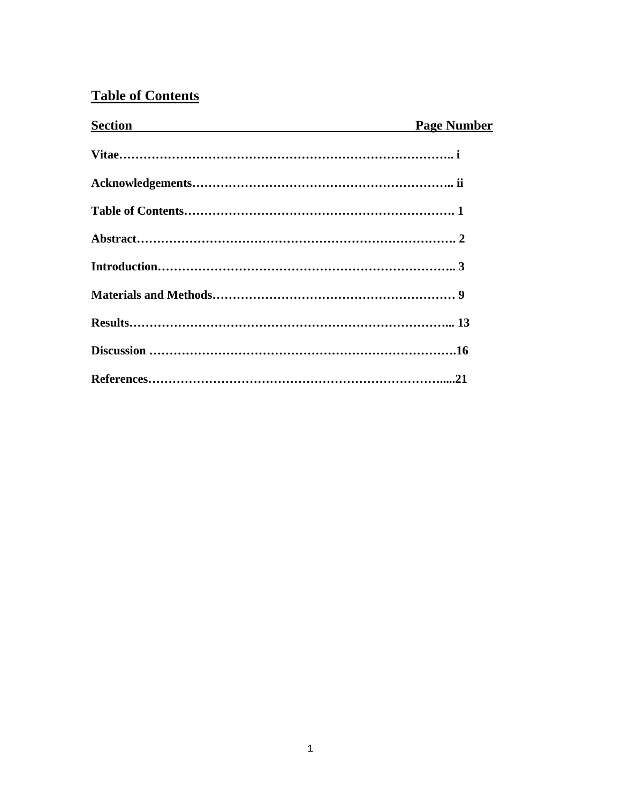## **Table of Contents**

| Section <b>Section</b> | <b>Page Number</b> |
|------------------------|--------------------|
|                        |                    |
|                        |                    |
|                        |                    |
|                        |                    |
|                        |                    |
|                        |                    |
|                        |                    |
|                        |                    |
|                        |                    |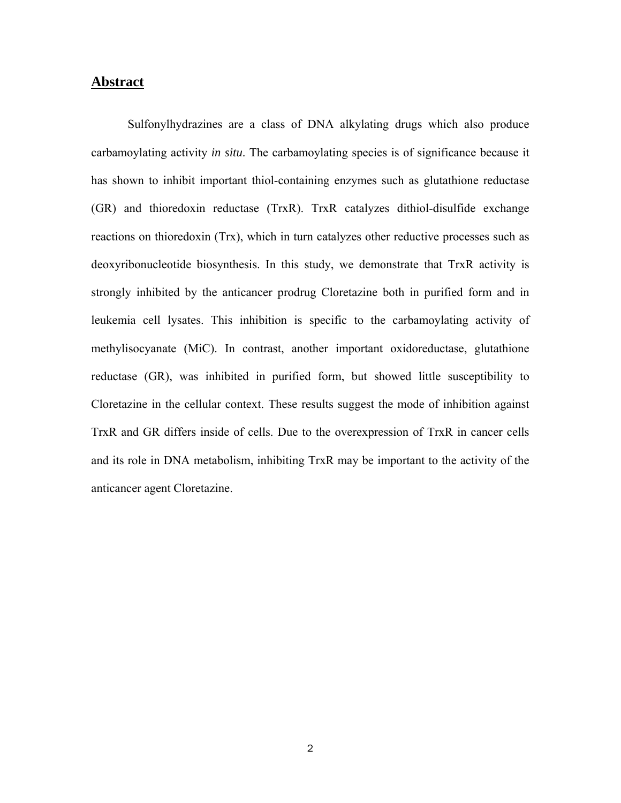#### **Abstract**

Sulfonylhydrazines are a class of DNA alkylating drugs which also produce carbamoylating activity *in situ*. The carbamoylating species is of significance because it has shown to inhibit important thiol-containing enzymes such as glutathione reductase (GR) and thioredoxin reductase (TrxR). TrxR catalyzes dithiol-disulfide exchange reactions on thioredoxin (Trx), which in turn catalyzes other reductive processes such as deoxyribonucleotide biosynthesis. In this study, we demonstrate that TrxR activity is strongly inhibited by the anticancer prodrug Cloretazine both in purified form and in leukemia cell lysates. This inhibition is specific to the carbamoylating activity of methylisocyanate (MiC). In contrast, another important oxidoreductase, glutathione reductase (GR), was inhibited in purified form, but showed little susceptibility to Cloretazine in the cellular context. These results suggest the mode of inhibition against TrxR and GR differs inside of cells. Due to the overexpression of TrxR in cancer cells and its role in DNA metabolism, inhibiting TrxR may be important to the activity of the anticancer agent Cloretazine.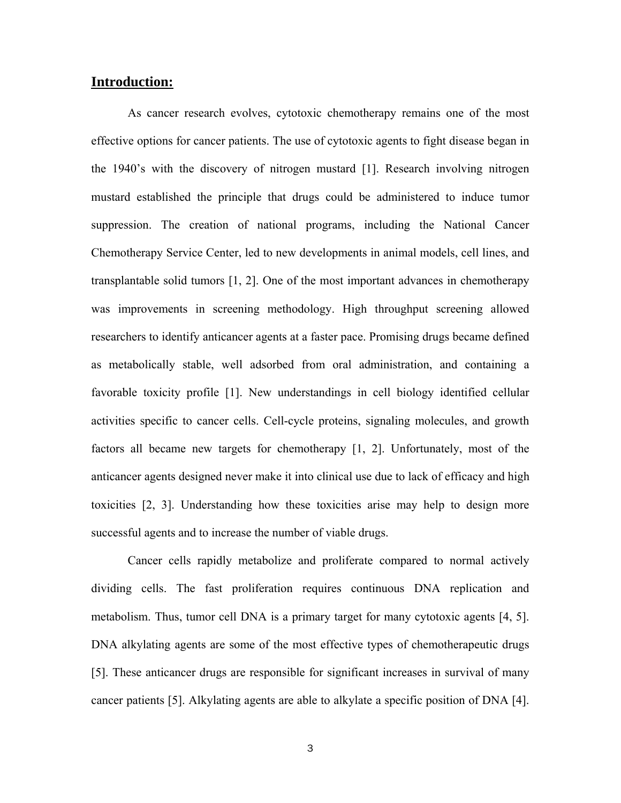### **Introduction:**

As cancer research evolves, cytotoxic chemotherapy remains one of the most effective options for cancer patients. The use of cytotoxic agents to fight disease began in the 1940's with the discovery of nitrogen mustard [1]. Research involving nitrogen mustard established the principle that drugs could be administered to induce tumor suppression. The creation of national programs, including the National Cancer Chemotherapy Service Center, led to new developments in animal models, cell lines, and transplantable solid tumors [1, 2]. One of the most important advances in chemotherapy was improvements in screening methodology. High throughput screening allowed researchers to identify anticancer agents at a faster pace. Promising drugs became defined as metabolically stable, well adsorbed from oral administration, and containing a favorable toxicity profile [1]. New understandings in cell biology identified cellular activities specific to cancer cells. Cell-cycle proteins, signaling molecules, and growth factors all became new targets for chemotherapy [1, 2]. Unfortunately, most of the anticancer agents designed never make it into clinical use due to lack of efficacy and high toxicities [2, 3]. Understanding how these toxicities arise may help to design more successful agents and to increase the number of viable drugs.

Cancer cells rapidly metabolize and proliferate compared to normal actively dividing cells. The fast proliferation requires continuous DNA replication and metabolism. Thus, tumor cell DNA is a primary target for many cytotoxic agents [4, 5]. DNA alkylating agents are some of the most effective types of chemotherapeutic drugs [5]. These anticancer drugs are responsible for significant increases in survival of many cancer patients [5]. Alkylating agents are able to alkylate a specific position of DNA [4].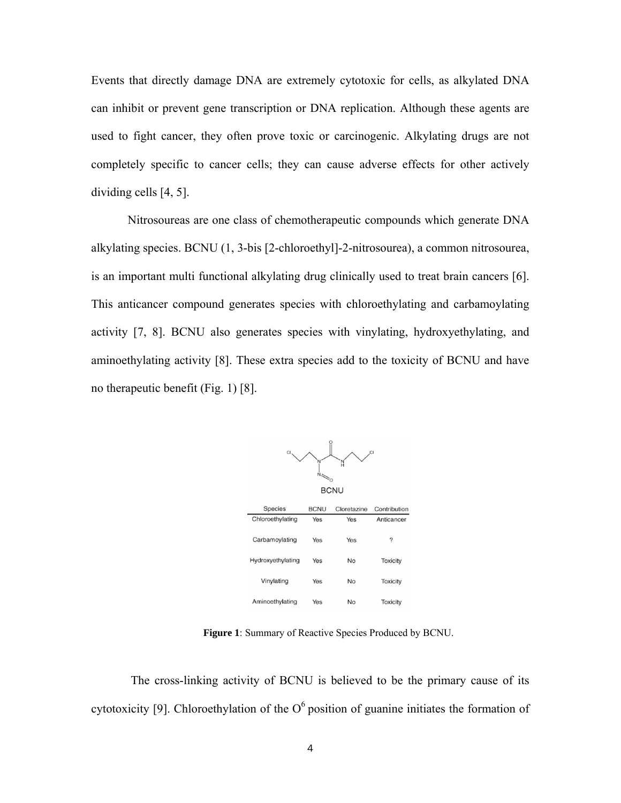Events that directly damage DNA are extremely cytotoxic for cells, as alkylated DNA can inhibit or prevent gene transcription or DNA replication. Although these agents are used to fight cancer, they often prove toxic or carcinogenic. Alkylating drugs are not completely specific to cancer cells; they can cause adverse effects for other actively dividing cells [4, 5].

Nitrosoureas are one class of chemotherapeutic compounds which generate DNA alkylating species. BCNU (1, 3-bis [2-chloroethyl]-2-nitrosourea), a common nitrosourea, is an important multi functional alkylating drug clinically used to treat brain cancers [6]. This anticancer compound generates species with chloroethylating and carbamoylating activity [7, 8]. BCNU also generates species with vinylating, hydroxyethylating, and aminoethylating activity [8]. These extra species add to the toxicity of BCNU and have no therapeutic benefit (Fig. 1) [8].



**Figure 1**: Summary of Reactive Species Produced by BCNU.

 The cross-linking activity of BCNU is believed to be the primary cause of its cytotoxicity [9]. Chloroethylation of the  $O<sup>6</sup>$  position of guanine initiates the formation of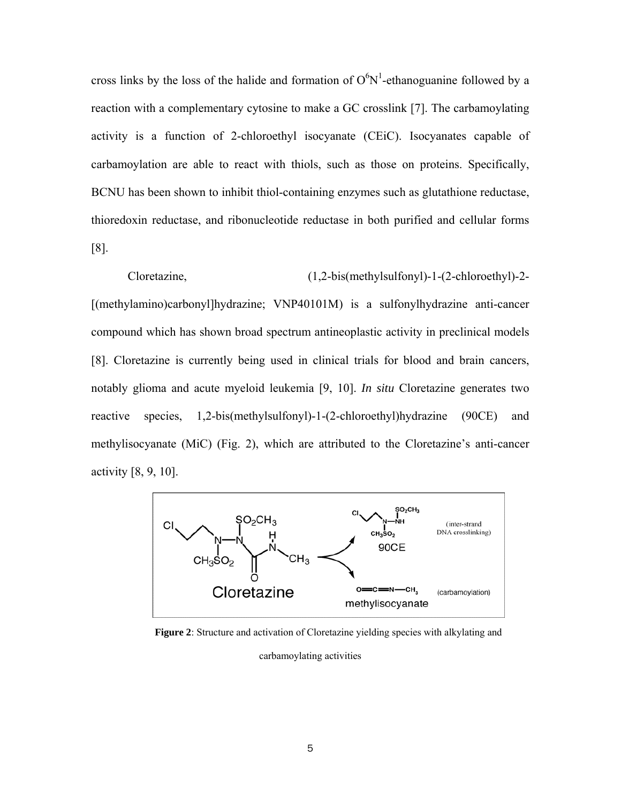cross links by the loss of the halide and formation of  $O<sup>6</sup>N<sup>1</sup>$ -ethanoguanine followed by a reaction with a complementary cytosine to make a GC crosslink [7]. The carbamoylating activity is a function of 2-chloroethyl isocyanate (CEiC). Isocyanates capable of carbamoylation are able to react with thiols, such as those on proteins. Specifically, BCNU has been shown to inhibit thiol-containing enzymes such as glutathione reductase, thioredoxin reductase, and ribonucleotide reductase in both purified and cellular forms [8].

Cloretazine, (1,2-bis(methylsulfonyl)-1-(2-chloroethyl)-2- [(methylamino)carbonyl]hydrazine; VNP40101M) is a sulfonylhydrazine anti-cancer compound which has shown broad spectrum antineoplastic activity in preclinical models [8]. Cloretazine is currently being used in clinical trials for blood and brain cancers, notably glioma and acute myeloid leukemia [9, 10]. *In situ* Cloretazine generates two reactive species, 1,2-bis(methylsulfonyl)-1-(2-chloroethyl)hydrazine (90CE) and methylisocyanate (MiC) (Fig. 2), which are attributed to the Cloretazine's anti-cancer activity [8, 9, 10].



**Figure 2**: Structure and activation of Cloretazine yielding species with alkylating and

carbamoylating activities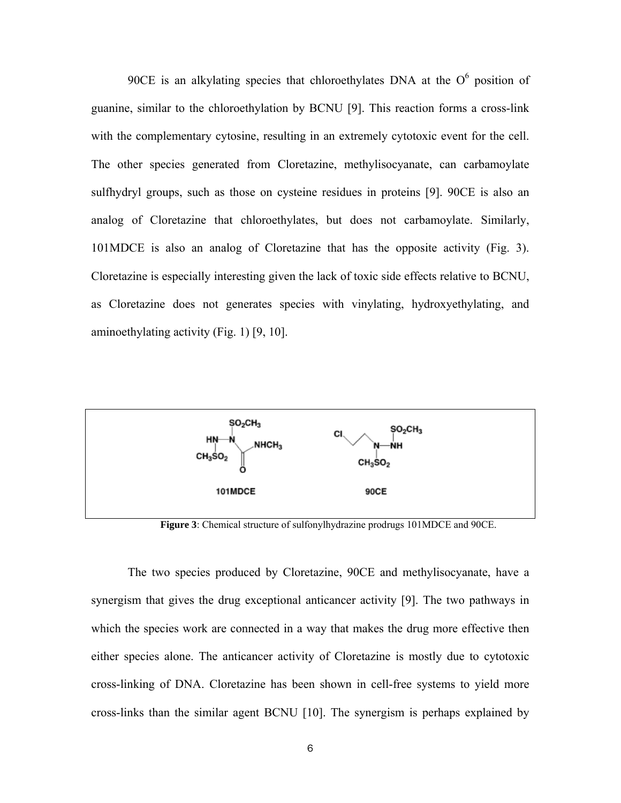90CE is an alkylating species that chloroethylates DNA at the  $O<sup>6</sup>$  position of guanine, similar to the chloroethylation by BCNU [9]. This reaction forms a cross-link with the complementary cytosine, resulting in an extremely cytotoxic event for the cell. The other species generated from Cloretazine, methylisocyanate, can carbamoylate sulfhydryl groups, such as those on cysteine residues in proteins [9]. 90CE is also an analog of Cloretazine that chloroethylates, but does not carbamoylate. Similarly, 101MDCE is also an analog of Cloretazine that has the opposite activity (Fig. 3). Cloretazine is especially interesting given the lack of toxic side effects relative to BCNU, as Cloretazine does not generates species with vinylating, hydroxyethylating, and aminoethylating activity (Fig. 1) [9, 10].



**Figure 3**: Chemical structure of sulfonylhydrazine prodrugs 101MDCE and 90CE.

The two species produced by Cloretazine, 90CE and methylisocyanate, have a synergism that gives the drug exceptional anticancer activity [9]. The two pathways in which the species work are connected in a way that makes the drug more effective then either species alone. The anticancer activity of Cloretazine is mostly due to cytotoxic cross-linking of DNA. Cloretazine has been shown in cell-free systems to yield more cross-links than the similar agent BCNU [10]. The synergism is perhaps explained by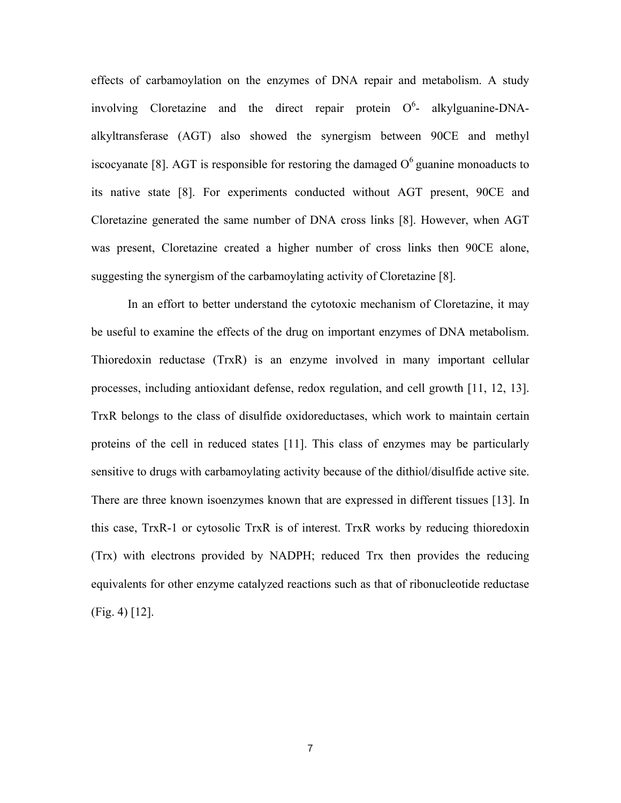effects of carbamoylation on the enzymes of DNA repair and metabolism. A study involving Cloretazine and the direct repair protein  $O^6$ - alkylguanine-DNAalkyltransferase (AGT) also showed the synergism between 90CE and methyl iscocyanate [8]. AGT is responsible for restoring the damaged  $O<sup>6</sup>$  guanine monoaducts to its native state [8]. For experiments conducted without AGT present, 90CE and Cloretazine generated the same number of DNA cross links [8]. However, when AGT was present, Cloretazine created a higher number of cross links then 90CE alone, suggesting the synergism of the carbamoylating activity of Cloretazine [8].

In an effort to better understand the cytotoxic mechanism of Cloretazine, it may be useful to examine the effects of the drug on important enzymes of DNA metabolism. Thioredoxin reductase (TrxR) is an enzyme involved in many important cellular processes, including antioxidant defense, redox regulation, and cell growth [11, 12, 13]. TrxR belongs to the class of disulfide oxidoreductases, which work to maintain certain proteins of the cell in reduced states [11]. This class of enzymes may be particularly sensitive to drugs with carbamoylating activity because of the dithiol/disulfide active site. There are three known isoenzymes known that are expressed in different tissues [13]. In this case, TrxR-1 or cytosolic TrxR is of interest. TrxR works by reducing thioredoxin (Trx) with electrons provided by NADPH; reduced Trx then provides the reducing equivalents for other enzyme catalyzed reactions such as that of ribonucleotide reductase (Fig. 4) [12].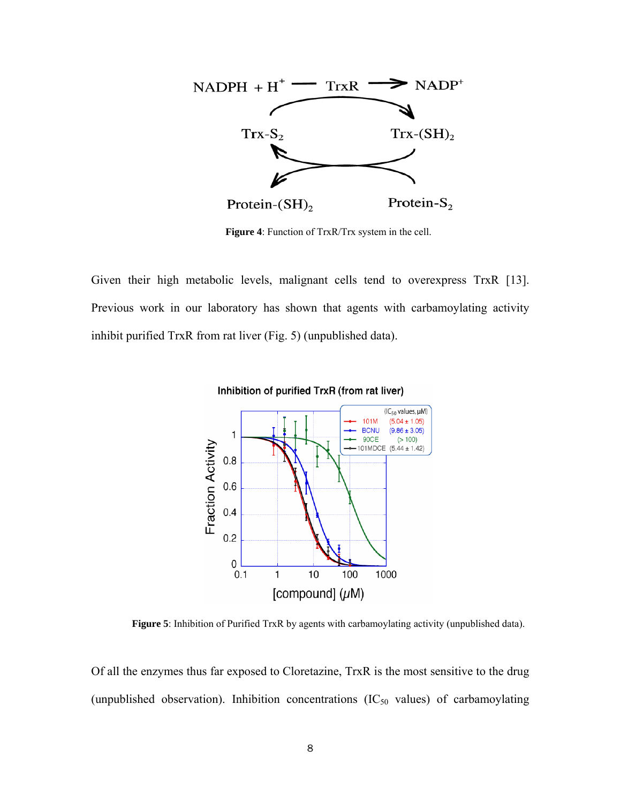

**Figure 4**: Function of TrxR/Trx system in the cell.

Given their high metabolic levels, malignant cells tend to overexpress TrxR [13]. Previous work in our laboratory has shown that agents with carbamoylating activity inhibit purified TrxR from rat liver (Fig. 5) (unpublished data).



**Figure 5**: Inhibition of Purified TrxR by agents with carbamoylating activity (unpublished data).

Of all the enzymes thus far exposed to Cloretazine, TrxR is the most sensitive to the drug (unpublished observation). Inhibition concentrations  $(IC_{50}$  values) of carbamoylating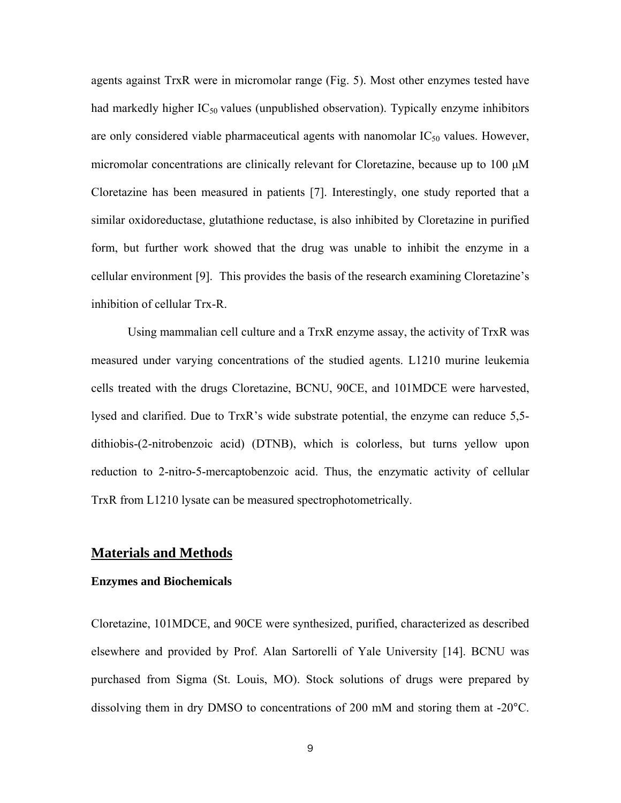agents against TrxR were in micromolar range (Fig. 5). Most other enzymes tested have had markedly higher  $IC_{50}$  values (unpublished observation). Typically enzyme inhibitors are only considered viable pharmaceutical agents with nanomolar  $IC_{50}$  values. However, micromolar concentrations are clinically relevant for Cloretazine, because up to 100 μM Cloretazine has been measured in patients [7]. Interestingly, one study reported that a similar oxidoreductase, glutathione reductase, is also inhibited by Cloretazine in purified form, but further work showed that the drug was unable to inhibit the enzyme in a cellular environment [9]. This provides the basis of the research examining Cloretazine's inhibition of cellular Trx-R.

Using mammalian cell culture and a TrxR enzyme assay, the activity of TrxR was measured under varying concentrations of the studied agents. L1210 murine leukemia cells treated with the drugs Cloretazine, BCNU, 90CE, and 101MDCE were harvested, lysed and clarified. Due to TrxR's wide substrate potential, the enzyme can reduce 5,5 dithiobis-(2-nitrobenzoic acid) (DTNB), which is colorless, but turns yellow upon reduction to 2-nitro-5-mercaptobenzoic acid. Thus, the enzymatic activity of cellular TrxR from L1210 lysate can be measured spectrophotometrically.

#### **Materials and Methods**

#### **Enzymes and Biochemicals**

Cloretazine, 101MDCE, and 90CE were synthesized, purified, characterized as described elsewhere and provided by Prof. Alan Sartorelli of Yale University [14]. BCNU was purchased from Sigma (St. Louis, MO). Stock solutions of drugs were prepared by dissolving them in dry DMSO to concentrations of 200 mM and storing them at -20°C.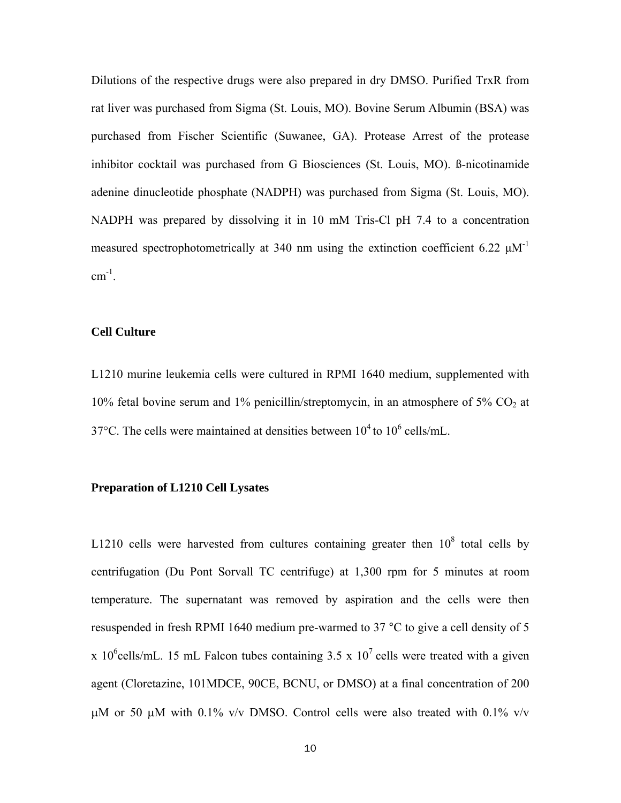Dilutions of the respective drugs were also prepared in dry DMSO. Purified TrxR from rat liver was purchased from Sigma (St. Louis, MO). Bovine Serum Albumin (BSA) was purchased from Fischer Scientific (Suwanee, GA). Protease Arrest of the protease inhibitor cocktail was purchased from G Biosciences (St. Louis, MO). ß-nicotinamide adenine dinucleotide phosphate (NADPH) was purchased from Sigma (St. Louis, MO). NADPH was prepared by dissolving it in 10 mM Tris-Cl pH 7.4 to a concentration measured spectrophotometrically at 340 nm using the extinction coefficient 6.22  $\mu$ M<sup>-1</sup>  $cm^{-1}$ .

#### **Cell Culture**

L1210 murine leukemia cells were cultured in RPMI 1640 medium, supplemented with 10% fetal bovine serum and 1% penicillin/streptomycin, in an atmosphere of 5%  $CO<sub>2</sub>$  at 37°C. The cells were maintained at densities between  $10^4$  to  $10^6$  cells/mL.

#### **Preparation of L1210 Cell Lysates**

L1210 cells were harvested from cultures containing greater then  $10^8$  total cells by centrifugation (Du Pont Sorvall TC centrifuge) at 1,300 rpm for 5 minutes at room temperature. The supernatant was removed by aspiration and the cells were then resuspended in fresh RPMI 1640 medium pre-warmed to 37 °C to give a cell density of 5 x 10<sup>6</sup>cells/mL. 15 mL Falcon tubes containing 3.5 x 10<sup>7</sup> cells were treated with a given agent (Cloretazine, 101MDCE, 90CE, BCNU, or DMSO) at a final concentration of 200 μM or 50 μM with 0.1% v/v DMSO. Control cells were also treated with 0.1% v/v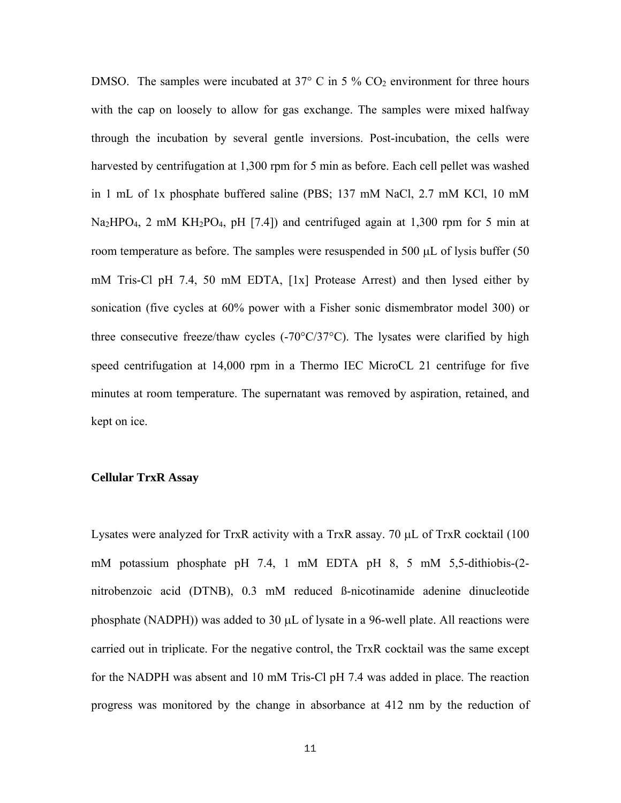DMSO. The samples were incubated at 37 $\degree$  C in 5  $\%$  CO<sub>2</sub> environment for three hours with the cap on loosely to allow for gas exchange. The samples were mixed halfway through the incubation by several gentle inversions. Post-incubation, the cells were harvested by centrifugation at 1,300 rpm for 5 min as before. Each cell pellet was washed in 1 mL of 1x phosphate buffered saline (PBS; 137 mM NaCl, 2.7 mM KCl, 10 mM  $Na<sub>2</sub>HPO<sub>4</sub>$ , 2 mM  $KH<sub>2</sub>PO<sub>4</sub>$ , pH [7.4]) and centrifuged again at 1,300 rpm for 5 min at room temperature as before. The samples were resuspended in 500 μL of lysis buffer (50 mM Tris-Cl pH 7.4, 50 mM EDTA, [1x] Protease Arrest) and then lysed either by sonication (five cycles at 60% power with a Fisher sonic dismembrator model 300) or three consecutive freeze/thaw cycles (-70°C/37°C). The lysates were clarified by high speed centrifugation at 14,000 rpm in a Thermo IEC MicroCL 21 centrifuge for five minutes at room temperature. The supernatant was removed by aspiration, retained, and kept on ice.

#### **Cellular TrxR Assay**

Lysates were analyzed for TrxR activity with a TrxR assay. 70 μL of TrxR cocktail (100 mM potassium phosphate pH 7.4, 1 mM EDTA pH 8, 5 mM 5,5-dithiobis-(2 nitrobenzoic acid (DTNB), 0.3 mM reduced ß-nicotinamide adenine dinucleotide phosphate (NADPH)) was added to 30 μL of lysate in a 96-well plate. All reactions were carried out in triplicate. For the negative control, the TrxR cocktail was the same except for the NADPH was absent and 10 mM Tris-Cl pH 7.4 was added in place. The reaction progress was monitored by the change in absorbance at 412 nm by the reduction of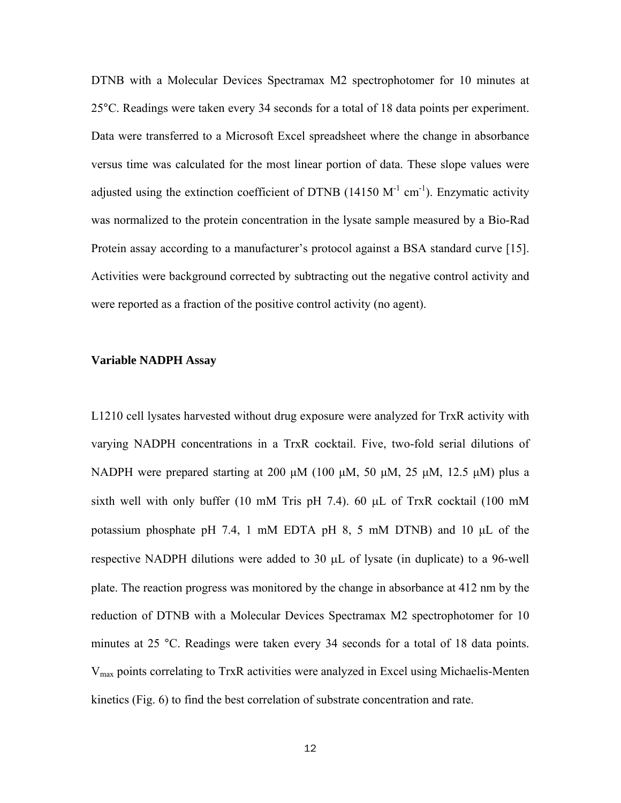DTNB with a Molecular Devices Spectramax M2 spectrophotomer for 10 minutes at 25°C. Readings were taken every 34 seconds for a total of 18 data points per experiment. Data were transferred to a Microsoft Excel spreadsheet where the change in absorbance versus time was calculated for the most linear portion of data. These slope values were adjusted using the extinction coefficient of DTNB (14150  $M^{-1}$  cm<sup>-1</sup>). Enzymatic activity was normalized to the protein concentration in the lysate sample measured by a Bio-Rad Protein assay according to a manufacturer's protocol against a BSA standard curve [15]. Activities were background corrected by subtracting out the negative control activity and were reported as a fraction of the positive control activity (no agent).

#### **Variable NADPH Assay**

L1210 cell lysates harvested without drug exposure were analyzed for TrxR activity with varying NADPH concentrations in a TrxR cocktail. Five, two-fold serial dilutions of NADPH were prepared starting at 200 μM (100 μM, 50 μM, 25 μM, 12.5 μM) plus a sixth well with only buffer (10 mM Tris pH 7.4). 60 μL of TrxR cocktail (100 mM potassium phosphate pH 7.4, 1 mM EDTA pH 8, 5 mM DTNB) and 10 μL of the respective NADPH dilutions were added to 30 μL of lysate (in duplicate) to a 96-well plate. The reaction progress was monitored by the change in absorbance at 412 nm by the reduction of DTNB with a Molecular Devices Spectramax M2 spectrophotomer for 10 minutes at 25 °C. Readings were taken every 34 seconds for a total of 18 data points. Vmax points correlating to TrxR activities were analyzed in Excel using Michaelis-Menten kinetics (Fig. 6) to find the best correlation of substrate concentration and rate.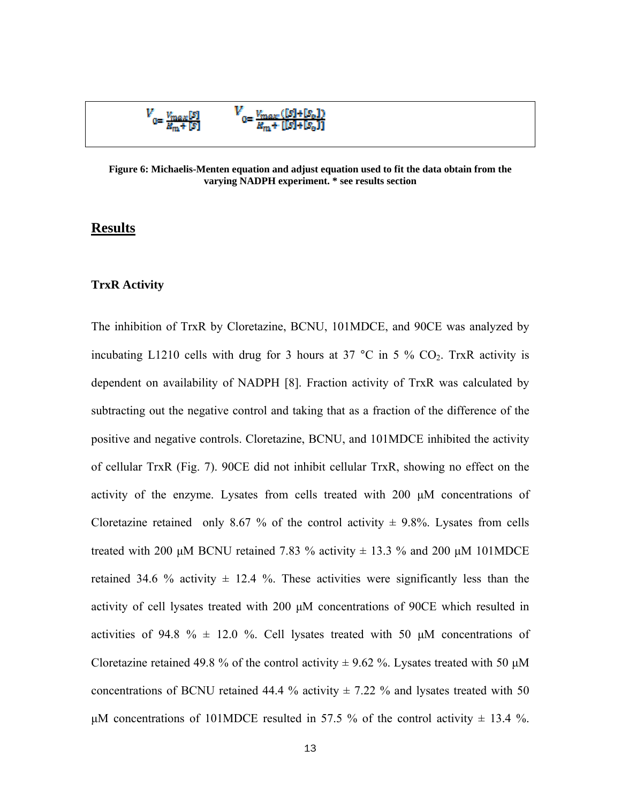

**Figure 6: Michaelis-Menten equation and adjust equation used to fit the data obtain from the varying NADPH experiment. \* see results section** 

#### **Results**

#### **TrxR Activity**

The inhibition of TrxR by Cloretazine, BCNU, 101MDCE, and 90CE was analyzed by incubating L1210 cells with drug for 3 hours at 37  $^{\circ}$ C in 5 % CO<sub>2</sub>. TrxR activity is dependent on availability of NADPH [8]. Fraction activity of TrxR was calculated by subtracting out the negative control and taking that as a fraction of the difference of the positive and negative controls. Cloretazine, BCNU, and 101MDCE inhibited the activity of cellular TrxR (Fig. 7). 90CE did not inhibit cellular TrxR, showing no effect on the activity of the enzyme. Lysates from cells treated with 200 μM concentrations of Cloretazine retained only 8.67 % of the control activity  $\pm$  9.8%. Lysates from cells treated with 200 μM BCNU retained 7.83 % activity  $\pm$  13.3 % and 200 μM 101MDCE retained 34.6 % activity  $\pm$  12.4 %. These activities were significantly less than the activity of cell lysates treated with 200 μM concentrations of 90CE which resulted in activities of 94.8 %  $\pm$  12.0 %. Cell lysates treated with 50  $\mu$ M concentrations of Cloretazine retained 49.8 % of the control activity  $\pm$  9.62 %. Lysates treated with 50  $\mu$ M concentrations of BCNU retained 44.4 % activity  $\pm$  7.22 % and lysates treated with 50 μM concentrations of 101MDCE resulted in 57.5 % of the control activity  $\pm$  13.4 %.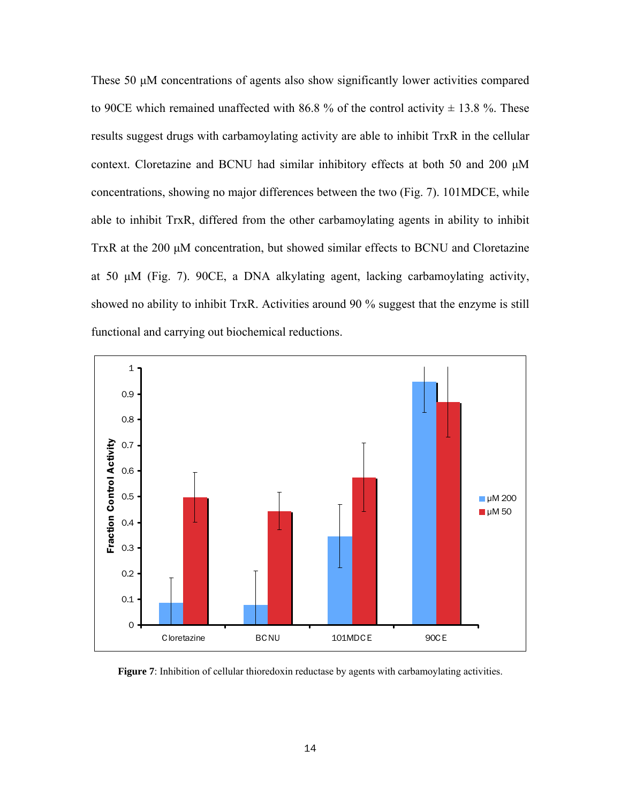These 50 μM concentrations of agents also show significantly lower activities compared to 90CE which remained unaffected with 86.8 % of the control activity  $\pm$  13.8 %. These results suggest drugs with carbamoylating activity are able to inhibit TrxR in the cellular context. Cloretazine and BCNU had similar inhibitory effects at both 50 and 200 μM concentrations, showing no major differences between the two (Fig. 7). 101MDCE, while able to inhibit TrxR, differed from the other carbamoylating agents in ability to inhibit TrxR at the 200 μM concentration, but showed similar effects to BCNU and Cloretazine at 50 μM (Fig. 7). 90CE, a DNA alkylating agent, lacking carbamoylating activity, showed no ability to inhibit TrxR. Activities around 90 % suggest that the enzyme is still functional and carrying out biochemical reductions.



**Figure 7**: Inhibition of cellular thioredoxin reductase by agents with carbamoylating activities.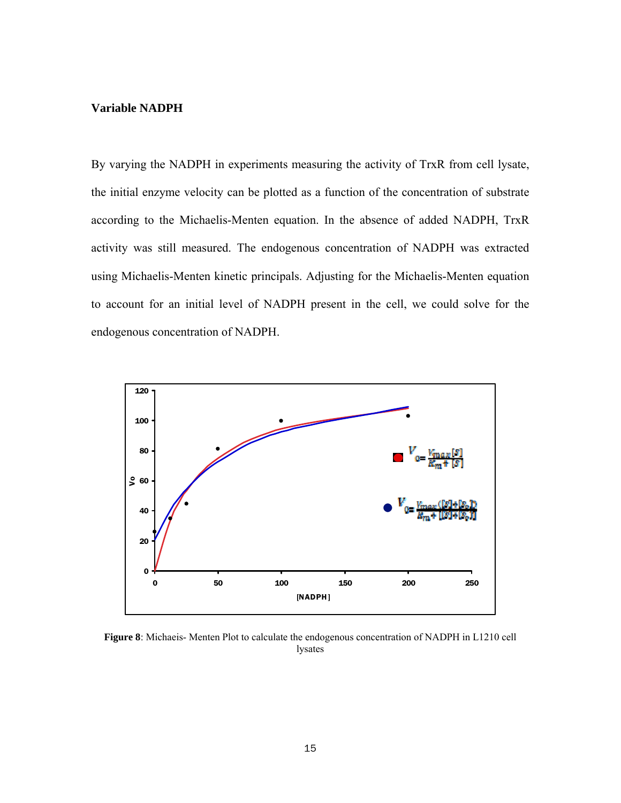#### **Variable NADPH**

By varying the NADPH in experiments measuring the activity of TrxR from cell lysate, the initial enzyme velocity can be plotted as a function of the concentration of substrate according to the Michaelis-Menten equation. In the absence of added NADPH, TrxR activity was still measured. The endogenous concentration of NADPH was extracted using Michaelis-Menten kinetic principals. Adjusting for the Michaelis-Menten equation to account for an initial level of NADPH present in the cell, we could solve for the endogenous concentration of NADPH.



**Figure 8**: Michaeis- Menten Plot to calculate the endogenous concentration of NADPH in L1210 cell lysates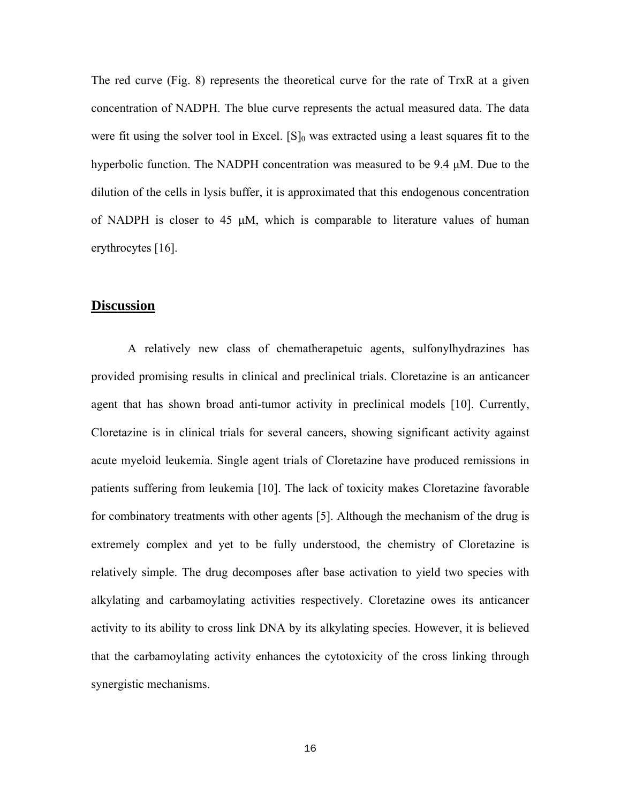The red curve (Fig. 8) represents the theoretical curve for the rate of TrxR at a given concentration of NADPH. The blue curve represents the actual measured data. The data were fit using the solver tool in Excel.  $[S]_0$  was extracted using a least squares fit to the hyperbolic function. The NADPH concentration was measured to be 9.4 μM. Due to the dilution of the cells in lysis buffer, it is approximated that this endogenous concentration of NADPH is closer to 45  $\mu$ M, which is comparable to literature values of human erythrocytes [16].

#### **Discussion**

A relatively new class of chematherapetuic agents, sulfonylhydrazines has provided promising results in clinical and preclinical trials. Cloretazine is an anticancer agent that has shown broad anti-tumor activity in preclinical models [10]. Currently, Cloretazine is in clinical trials for several cancers, showing significant activity against acute myeloid leukemia. Single agent trials of Cloretazine have produced remissions in patients suffering from leukemia [10]. The lack of toxicity makes Cloretazine favorable for combinatory treatments with other agents [5]. Although the mechanism of the drug is extremely complex and yet to be fully understood, the chemistry of Cloretazine is relatively simple. The drug decomposes after base activation to yield two species with alkylating and carbamoylating activities respectively. Cloretazine owes its anticancer activity to its ability to cross link DNA by its alkylating species. However, it is believed that the carbamoylating activity enhances the cytotoxicity of the cross linking through synergistic mechanisms.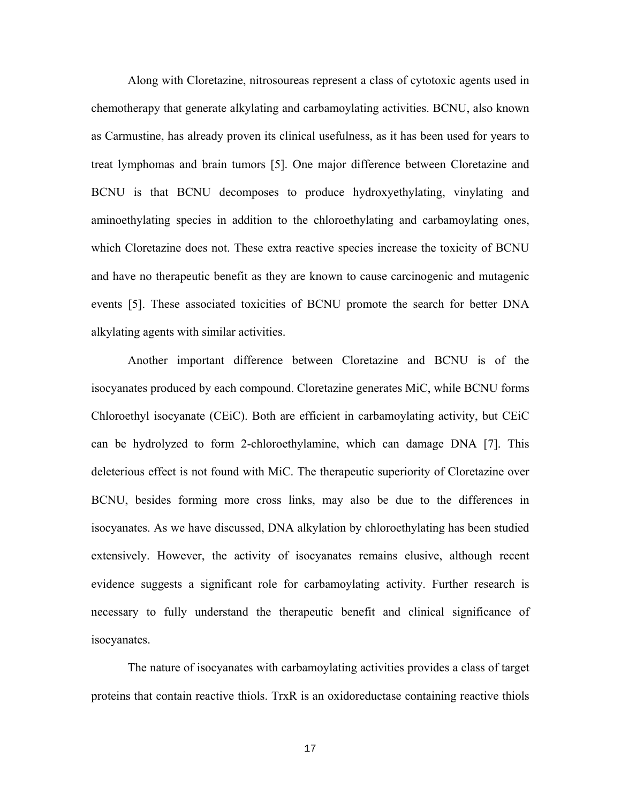Along with Cloretazine, nitrosoureas represent a class of cytotoxic agents used in chemotherapy that generate alkylating and carbamoylating activities. BCNU, also known as Carmustine, has already proven its clinical usefulness, as it has been used for years to treat lymphomas and brain tumors [5]. One major difference between Cloretazine and BCNU is that BCNU decomposes to produce hydroxyethylating, vinylating and aminoethylating species in addition to the chloroethylating and carbamoylating ones, which Cloretazine does not. These extra reactive species increase the toxicity of BCNU and have no therapeutic benefit as they are known to cause carcinogenic and mutagenic events [5]. These associated toxicities of BCNU promote the search for better DNA alkylating agents with similar activities.

Another important difference between Cloretazine and BCNU is of the isocyanates produced by each compound. Cloretazine generates MiC, while BCNU forms Chloroethyl isocyanate (CEiC). Both are efficient in carbamoylating activity, but CEiC can be hydrolyzed to form 2-chloroethylamine, which can damage DNA [7]. This deleterious effect is not found with MiC. The therapeutic superiority of Cloretazine over BCNU, besides forming more cross links, may also be due to the differences in isocyanates. As we have discussed, DNA alkylation by chloroethylating has been studied extensively. However, the activity of isocyanates remains elusive, although recent evidence suggests a significant role for carbamoylating activity. Further research is necessary to fully understand the therapeutic benefit and clinical significance of isocyanates.

The nature of isocyanates with carbamoylating activities provides a class of target proteins that contain reactive thiols. TrxR is an oxidoreductase containing reactive thiols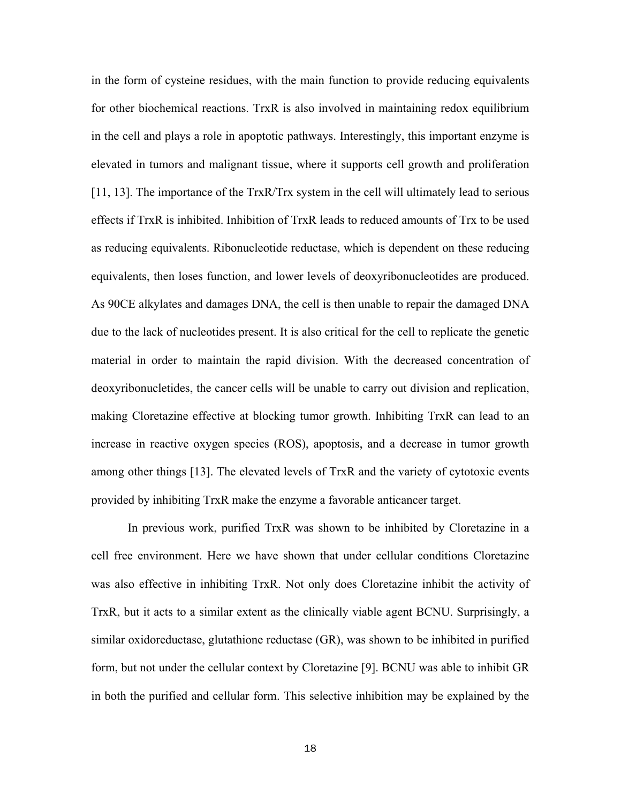in the form of cysteine residues, with the main function to provide reducing equivalents for other biochemical reactions. TrxR is also involved in maintaining redox equilibrium in the cell and plays a role in apoptotic pathways. Interestingly, this important enzyme is elevated in tumors and malignant tissue, where it supports cell growth and proliferation [11, 13]. The importance of the TrxR/Trx system in the cell will ultimately lead to serious effects if TrxR is inhibited. Inhibition of TrxR leads to reduced amounts of Trx to be used as reducing equivalents. Ribonucleotide reductase, which is dependent on these reducing equivalents, then loses function, and lower levels of deoxyribonucleotides are produced. As 90CE alkylates and damages DNA, the cell is then unable to repair the damaged DNA due to the lack of nucleotides present. It is also critical for the cell to replicate the genetic material in order to maintain the rapid division. With the decreased concentration of deoxyribonucletides, the cancer cells will be unable to carry out division and replication, making Cloretazine effective at blocking tumor growth. Inhibiting TrxR can lead to an increase in reactive oxygen species (ROS), apoptosis, and a decrease in tumor growth among other things [13]. The elevated levels of TrxR and the variety of cytotoxic events provided by inhibiting TrxR make the enzyme a favorable anticancer target.

In previous work, purified TrxR was shown to be inhibited by Cloretazine in a cell free environment. Here we have shown that under cellular conditions Cloretazine was also effective in inhibiting TrxR. Not only does Cloretazine inhibit the activity of TrxR, but it acts to a similar extent as the clinically viable agent BCNU. Surprisingly, a similar oxidoreductase, glutathione reductase (GR), was shown to be inhibited in purified form, but not under the cellular context by Cloretazine [9]. BCNU was able to inhibit GR in both the purified and cellular form. This selective inhibition may be explained by the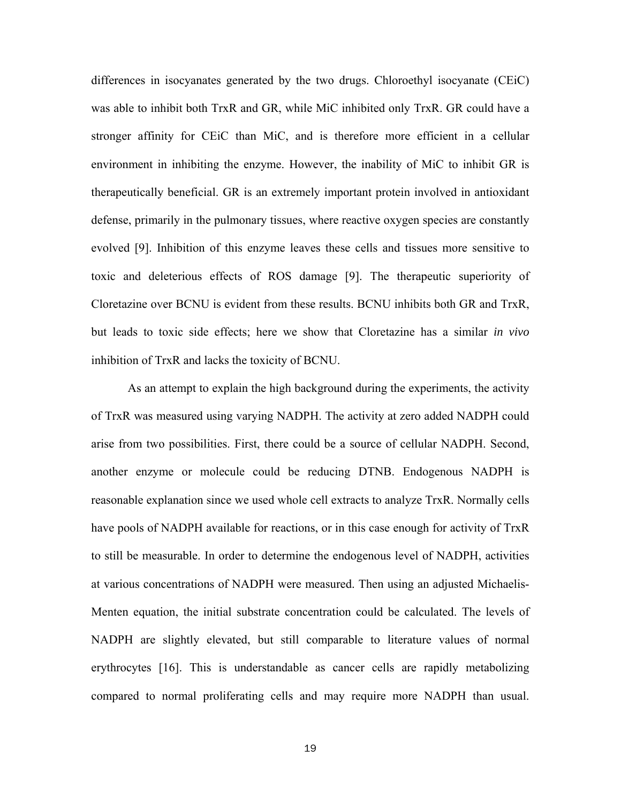differences in isocyanates generated by the two drugs. Chloroethyl isocyanate (CEiC) was able to inhibit both TrxR and GR, while MiC inhibited only TrxR. GR could have a stronger affinity for CEiC than MiC, and is therefore more efficient in a cellular environment in inhibiting the enzyme. However, the inability of MiC to inhibit GR is therapeutically beneficial. GR is an extremely important protein involved in antioxidant defense, primarily in the pulmonary tissues, where reactive oxygen species are constantly evolved [9]. Inhibition of this enzyme leaves these cells and tissues more sensitive to toxic and deleterious effects of ROS damage [9]. The therapeutic superiority of Cloretazine over BCNU is evident from these results. BCNU inhibits both GR and TrxR, but leads to toxic side effects; here we show that Cloretazine has a similar *in vivo* inhibition of TrxR and lacks the toxicity of BCNU.

As an attempt to explain the high background during the experiments, the activity of TrxR was measured using varying NADPH. The activity at zero added NADPH could arise from two possibilities. First, there could be a source of cellular NADPH. Second, another enzyme or molecule could be reducing DTNB. Endogenous NADPH is reasonable explanation since we used whole cell extracts to analyze TrxR. Normally cells have pools of NADPH available for reactions, or in this case enough for activity of TrxR to still be measurable. In order to determine the endogenous level of NADPH, activities at various concentrations of NADPH were measured. Then using an adjusted Michaelis-Menten equation, the initial substrate concentration could be calculated. The levels of NADPH are slightly elevated, but still comparable to literature values of normal erythrocytes [16]. This is understandable as cancer cells are rapidly metabolizing compared to normal proliferating cells and may require more NADPH than usual.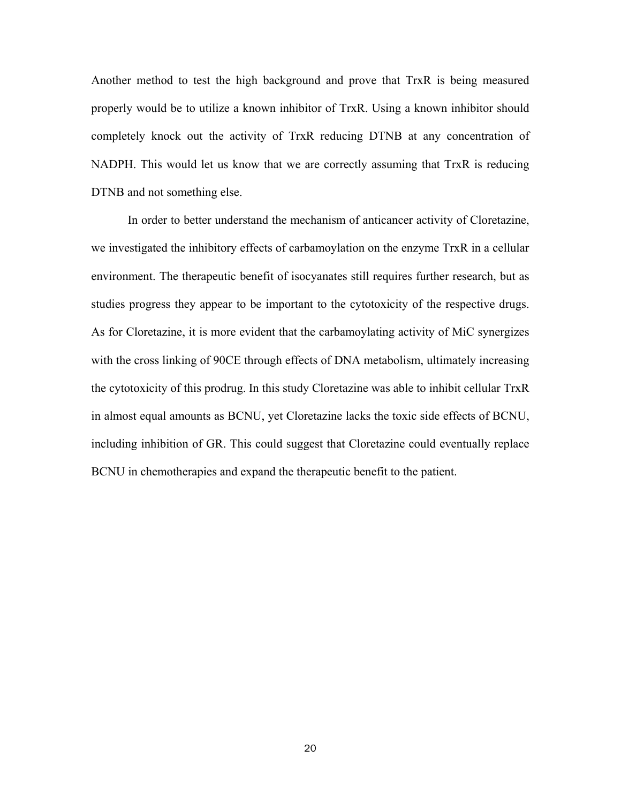Another method to test the high background and prove that TrxR is being measured properly would be to utilize a known inhibitor of TrxR. Using a known inhibitor should completely knock out the activity of TrxR reducing DTNB at any concentration of NADPH. This would let us know that we are correctly assuming that TrxR is reducing DTNB and not something else.

In order to better understand the mechanism of anticancer activity of Cloretazine, we investigated the inhibitory effects of carbamoylation on the enzyme TrxR in a cellular environment. The therapeutic benefit of isocyanates still requires further research, but as studies progress they appear to be important to the cytotoxicity of the respective drugs. As for Cloretazine, it is more evident that the carbamoylating activity of MiC synergizes with the cross linking of 90CE through effects of DNA metabolism, ultimately increasing the cytotoxicity of this prodrug. In this study Cloretazine was able to inhibit cellular TrxR in almost equal amounts as BCNU, yet Cloretazine lacks the toxic side effects of BCNU, including inhibition of GR. This could suggest that Cloretazine could eventually replace BCNU in chemotherapies and expand the therapeutic benefit to the patient.